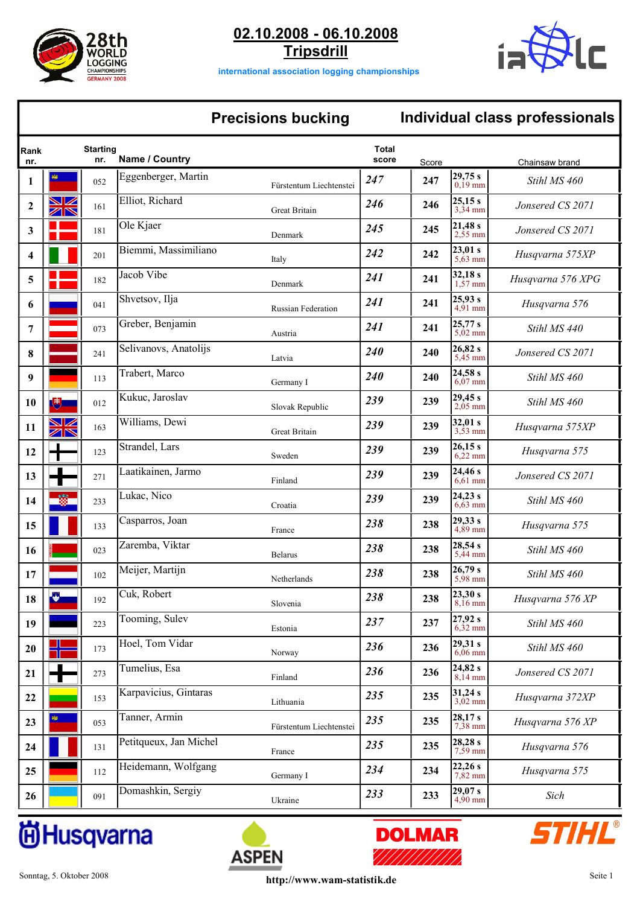

**02.10.2008 - 06.10.2008 Tripsdrill**



**international association logging championships**

## **Precisions bucking Individual class professionals**

| Rank<br>nr.      |                   | <b>Starting</b><br>nr. | Name / Country         |                           | <b>Total</b><br>score | Score |                              | Chainsaw brand    |
|------------------|-------------------|------------------------|------------------------|---------------------------|-----------------------|-------|------------------------------|-------------------|
| 1                | کله               | 052                    | Eggenberger, Martin    | Fürstentum Liechtenstei   | 247                   | 247   | 29,75 s<br>$0,19$ mm         | Stihl MS 460      |
| $\boldsymbol{2}$ | $\boxtimes$<br>ZR | 161                    | Elliot, Richard        | Great Britain             | 246                   | 246   | 25,15 s<br>$3,34$ mm         | Jonsered CS 2071  |
| 3                |                   | 181                    | Ole Kjaer              | Denmark                   | 245                   | 245   | 21,48s<br>2,55 mm            | Jonsered CS 2071  |
| 4                |                   | 201                    | Biemmi, Massimiliano   | Italy                     | 242                   | 242   | 23,01 s<br>5,63 mm           | Husqvarna 575XP   |
| 5                |                   | 182                    | Jacob Vibe             | Denmark                   | 241                   | 241   | 32,18s<br>$1,57$ mm          | Husqvarna 576 XPG |
| 6                |                   | 041                    | Shvetsov, Ilja         | <b>Russian Federation</b> | 241                   | 241   | 25,93 s<br>$4.91$ mm         | Husqvarna 576     |
| 7                |                   | 073                    | Greber, Benjamin       | Austria                   | 241                   | 241   | 25,77 s<br>$5,02$ mm         | Stihl MS 440      |
| 8                |                   | 241                    | Selivanovs, Anatolijs  | Latvia                    | 240                   | 240   | 26,82 s<br>5,45 mm           | Jonsered CS 2071  |
| 9                |                   | 113                    | Trabert, Marco         | Germany I                 | 240                   | 240   | 24,58 s<br>$6,07$ mm         | Stihl MS 460      |
| 10               | 博                 | 012                    | Kukuc, Jaroslav        | Slovak Republic           | 239                   | 239   | 29,45 s<br>$2,05$ mm         | Stihl MS 460      |
| 11               | ☑<br>ZN           | 163                    | Williams, Dewi         | <b>Great Britain</b>      | 239                   | 239   | 32,01 s<br>3,53 mm           | Husqvarna 575XP   |
| 12               |                   | 123                    | Strandel, Lars         | Sweden                    | 239                   | 239   | 26,15 s<br>$6,22$ mm         | Husqvarna 575     |
| 13               |                   | 271                    | Laatikainen, Jarmo     | Finland                   | 239                   | 239   | 24,46 s<br>$6,61$ mm         | Jonsered CS 2071  |
| 14               |                   | 233                    | Lukac, Nico            | Croatia                   | 239                   | 239   | 24,23s<br>$6,63$ mm          | Stihl MS 460      |
| 15               |                   | 133                    | Casparros, Joan        | France                    | 238                   | 238   | 29,33 s<br>$4,89$ mm         | Husqvarna 575     |
| 16               |                   | 023                    | Zaremba, Viktar        | <b>Belarus</b>            | 238                   | 238   | 28,54 s<br>5,44 mm           | Stihl MS 460      |
| 17               |                   | 102                    | Meijer, Martijn        | Netherlands               | 238                   | 238   | 26,79 s<br>$5,98$ mm         | Stihl MS 460      |
| 18               |                   | 192                    | Cuk, Robert            | Slovenia                  | 238                   | 238   | 23,30 s<br>8,16 mm           | Husqvarna 576 XP  |
| 19               |                   | 223                    | Tooming, Sulev         | Estonia                   | 237                   | 237   | 27,92 s<br>$6,32$ mm         | Stihl MS 460      |
| 20               |                   | 173                    | Hoel, Tom Vidar        | Norway                    | 236                   | 236   | 29,31 s<br>$6,06$ mm         | Stihl MS 460      |
| 21               |                   | 273                    | Tumelius, Esa          | Finland                   | 236                   | 236   | 24,82 s<br>$8,14 \text{ mm}$ | Jonsered CS 2071  |
| 22               |                   | 153                    | Karpavicius, Gintaras  | Lithuania                 | 235                   | 235   | 31,24 s<br>$3,02$ mm         | Husqvarna 372XP   |
| 23               |                   | 053                    | Tanner, Armin          | Fürstentum Liechtenstei   | 235                   | 235   | 28,17 s<br>$7,38$ mm         | Husqvarna 576 XP  |
| 24               |                   | 131                    | Petitqueux, Jan Michel | France                    | 235                   | 235   | 28,28 s<br>$7,59$ mm         | Husqvarna 576     |
| 25               |                   | 112                    | Heidemann, Wolfgang    | Germany I                 | 234                   | 234   | 22,26s<br>$7,82$ mm          | Husqvarna 575     |
| 26               |                   | 091                    | Domashkin, Sergiy      | Ukraine                   | 233                   | 233   | 29,07 s<br>4,90 mm           | Sich              |

# **尚Husqvarna**





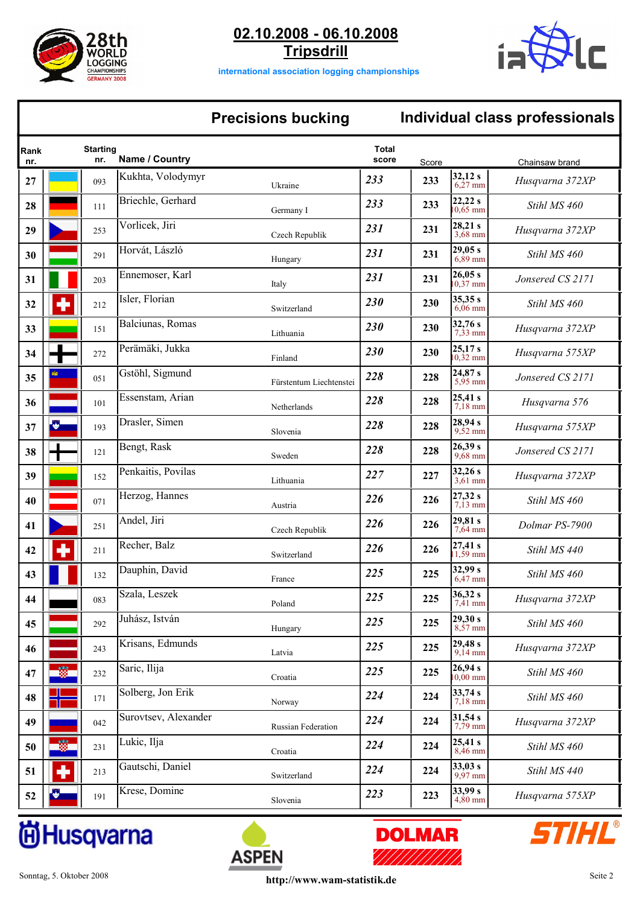

**02.10.2008 - 06.10.2008**

**Tripsdrill**



**international association logging championships**

### **Precisions bucking Individual class professionals**

| Rank<br>nr. |               | <b>Starting</b><br>nr. | Name / Country       |                         | <b>Total</b><br>score | Score |                       | Chainsaw brand   |
|-------------|---------------|------------------------|----------------------|-------------------------|-----------------------|-------|-----------------------|------------------|
| 27          |               | 093                    | Kukhta, Volodymyr    | Ukraine                 | 233                   | 233   | 32,12 s<br>$6,27$ mm  | Husqvarna 372XP  |
| 28          |               | 111                    | Briechle, Gerhard    | Germany I               | 233                   | 233   | 22,22s<br>$10,65$ mm  | Stihl MS 460     |
| 29          |               | 253                    | Vorlicek, Jiri       | Czech Republik          | 231                   | 231   | 28,21 s<br>3,68 mm    | Husqvarna 372XP  |
| 30          |               | 291                    | Horvát, László       | Hungary                 | 231                   | 231   | 29,05 s<br>6,89 mm    | Stihl MS 460     |
| 31          |               | 203                    | Ennemoser, Karl      | Italy                   | 231                   | 231   | 26,05 s<br>$10.37$ mm | Jonsered CS 2171 |
| 32          |               | 212                    | Isler, Florian       | Switzerland             | 230                   | 230   | 35,35 s<br>$6.06$ mm  | Stihl MS 460     |
| 33          |               | 151                    | Balciunas, Romas     | Lithuania               | 230                   | 230   | 32,76s<br>7,33 mm     | Husqvarna 372XP  |
| 34          |               | 272                    | Perämäki, Jukka      | Finland                 | 230                   | 230   | 25,17 s<br>$10,32$ mm | Husqvarna 575XP  |
| 35          |               | 051                    | Gstöhl, Sigmund      | Fürstentum Liechtenstei | 228                   | 228   | 24,87 s<br>$5.95$ mm  | Jonsered CS 2171 |
| 36          |               | 101                    | Essenstam, Arian     | Netherlands             | 228                   | 228   | 25,41 s<br>$7,18$ mm  | Husqvarna 576    |
| 37          | 學             | 193                    | Drasler, Simen       | Slovenia                | 228                   | 228   | 28,94 s<br>$9,52$ mm  | Husqvarna 575XP  |
| 38          |               | 121                    | Bengt, Rask          | Sweden                  | 228                   | 228   | 26,39s<br>9,68 mm     | Jonsered CS 2171 |
| 39          |               | 152                    | Penkaitis, Povilas   | Lithuania               | 227                   | 227   | 32,26s<br>$3,61$ mm   | Husqvarna 372XP  |
| 40          |               | 071                    | Herzog, Hannes       | Austria                 | 226                   | 226   | 27,32 s<br>$7.13$ mm  | Stihl MS 460     |
| 41          |               | 251                    | Andel, Jiri          | Czech Republik          | 226                   | 226   | 29,81 s<br>7,64 mm    | Dolmar PS-7900   |
| 42          |               | 211                    | Recher, Balz         | Switzerland             | 226                   | 226   | 27,41 s<br>$1,59$ mm  | Stihl MS 440     |
| 43          |               | 132                    | Dauphin, David       | France                  | 225                   | 225   | 32,99 s<br>$6,47$ mm  | Stihl MS 460     |
| 44          |               | 083                    | Szala, Leszek        | Poland                  | 225                   | 225   | 36,32 s<br>$7,41$ mm  | Husqvarna 372XP  |
| 45          |               | 292                    | Juhász, István       | Hungary                 | 225                   | 225   | 29,30 s<br>$8,57$ mm  | Stihl MS 460     |
| 46          |               | 243                    | Krisans, Edmunds     | Latvia                  | 225                   | 225   | 29,48s<br>$9,14$ mm   | Husqvarna 372XP  |
| 47          | aras.<br>Isos | 232                    | Saric, Ilija         | Croatia                 | 225                   | 225   | 26,94 s<br>$10,00$ mm | Stihl MS 460     |
| 48          |               | 171                    | Solberg, Jon Erik    | Norway                  | 224                   | 224   | 33,74 s<br>$7,18$ mm  | Stihl MS 460     |
| 49          |               | 042                    | Surovtsev, Alexander | Russian Federation      | 224                   | 224   | 31,54 s<br>$7,79$ mm  | Husqvarna 372XP  |
| 50          | 篇             | 231                    | Lukic, Ilja          | Croatia                 | 224                   | 224   | 25,41 s<br>$8,46$ mm  | Stihl MS 460     |
| 51          | 4             | 213                    | Gautschi, Daniel     | Switzerland             | 224                   | 224   | 33,03 s<br>$9,97$ mm  | Stihl MS 440     |
| 52          |               | 191                    | Krese, Domine        | Slovenia                | 223                   | 223   | 33,99 s<br>$4,80$ mm  | Husqvarna 575XP  |







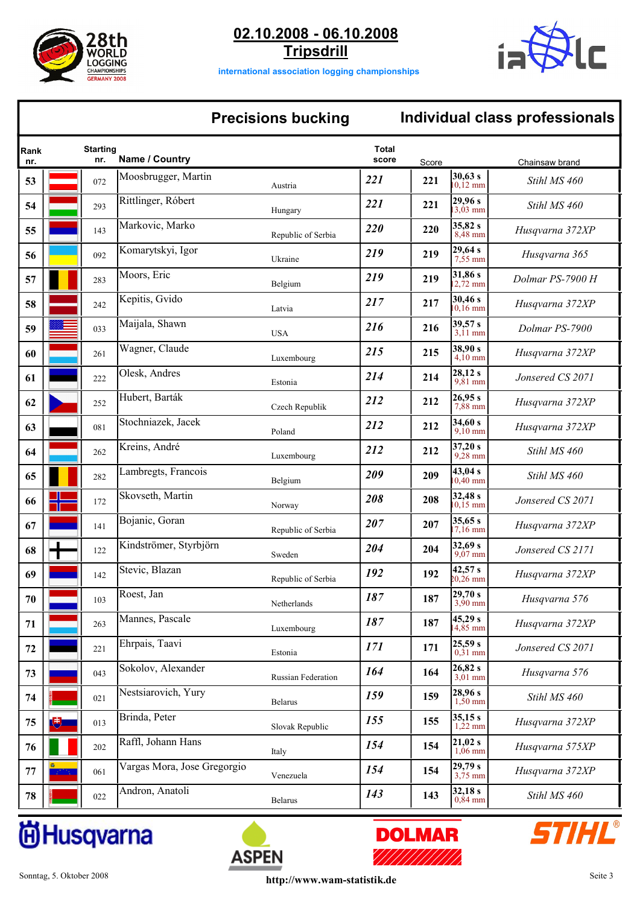

**02.10.2008 - 06.10.2008 Tripsdrill**



**international association logging championships**

## **Precisions bucking Individual class professionals**

| Rank<br>nr. |        | <b>Starting</b><br>nr. | Name / Country              |                    | Total<br>score | Score |                               | Chainsaw brand   |
|-------------|--------|------------------------|-----------------------------|--------------------|----------------|-------|-------------------------------|------------------|
| 53          |        | 072                    | Moosbrugger, Martin         | Austria            | 221            | 221   | 30,63 s<br>$10,12$ mm         | Stihl MS 460     |
| 54          |        | 293                    | Rittlinger, Róbert          | Hungary            | 221            | 221   | 29,96s<br>$13.03 \text{ mm}$  | Stihl MS 460     |
| 55          |        | 143                    | Markovic, Marko             | Republic of Serbia | 220            | 220   | 35,82s<br>$8,48$ mm           | Husqvarna 372XP  |
| 56          |        | 092                    | Komarytskyi, Igor           | Ukraine            | 219            | 219   | 29,64 s<br>$7,55$ mm          | Husqvarna 365    |
| 57          |        | 283                    | Moors, Eric                 | Belgium            | 219            | 219   | 31,86 s<br>$2,72$ mm          | Dolmar PS-7900 H |
| 58          |        | 242                    | Kepitis, Gvido              | Latvia             | 217            | 217   | 30,46 s<br>$10,16 \text{ mm}$ | Husqvarna 372XP  |
| 59          |        | 033                    | Maijala, Shawn              | <b>USA</b>         | 216            | 216   | 39,57 s<br>$3.11$ mm          | Dolmar PS-7900   |
| 60          |        | 261                    | Wagner, Claude              | Luxembourg         | 215            | 215   | 38,90 s<br>$4,10$ mm          | Husqvarna 372XP  |
| 61          |        | 222                    | Olesk, Andres               | Estonia            | 214            | 214   | 28,12 s<br>9,81 mm            | Jonsered CS 2071 |
| 62          |        | 252                    | Hubert, Barták              | Czech Republik     | 212            | 212   | 26,95 s<br>$7,88$ mm          | Husqvarna 372XP  |
| 63          |        | 081                    | Stochniazek, Jacek          | Poland             | 212            | 212   | 34,60 s<br>$9,10$ mm          | Husqvarna 372XP  |
| 64          |        | 262                    | Kreins, André               | Luxembourg         | 212            | 212   | 37,20 s<br>$9,28$ mm          | Stihl MS 460     |
| 65          |        | 282                    | Lambregts, Francois         | Belgium            | 209            | 209   | 43,04 s<br>$10,40$ mm         | Stihl MS 460     |
| 66          |        | 172                    | Skovseth, Martin            | Norway             | 208            | 208   | 32,48 s<br>$10.15 \text{ mm}$ | Jonsered CS 2071 |
| 67          |        | 141                    | Bojanic, Goran              | Republic of Serbia | 207            | 207   | 35,65 s<br>$7.16$ mm          | Husqvarna 372XP  |
| 68          |        | 122                    | Kindströmer, Styrbjörn      | Sweden             | 204            | 204   | 32,69 s<br>$9,07$ mm          | Jonsered CS 2171 |
| 69          |        | 142                    | Stevic, Blazan              | Republic of Serbia | 192            | 192   | 42,57 s<br>$20,26 \text{ mm}$ | Husqvarna 372XP  |
| 70          |        | 103                    | Roest, Jan                  | Netherlands        | 187            | 187   | 29,70 s<br>3,90 mm            | Husqvarna 576    |
| 71          |        | 263                    | Mannes, Pascale             | Luxembourg         | 187            | 187   | 45,29 s<br>14,85 mm           | Husqvarna 372XP  |
| 72          |        | 221                    | Ehrpais, Taavi              | Estonia            | 171            | 171   | 25,59 s<br>$0,\frac{3}{1}$ mm | Jonsered CS 2071 |
| 73          |        | 043                    | Sokolov, Alexander          | Russian Federation | 164            | 164   | 26,82 s<br>$3,01$ mm          | Husqvarna 576    |
| 74          |        | 021                    | Nestsiarovich, Yury         | Belarus            | 159            | 159   | 28,96 s<br>$1,50$ mm          | Stihl MS 460     |
| 75          | 博      | 013                    | Brinda, Peter               | Slovak Republic    | 155            | 155   | 35,15 s<br>$1,22$ mm          | Husqvarna 372XP  |
| 76          |        | 202                    | Raffl, Johann Hans          | Italy              | 154            | 154   | 21,02 s<br>$1,06$ mm          | Husqvarna 575XP  |
| 77          | 2008 L | 061                    | Vargas Mora, Jose Gregorgio | Venezuela          | 154            | 154   | 29,79 s<br>3,75 mm            | Husqvarna 372XP  |
| 78          |        | 022                    | Andron, Anatoli             | Belarus            | 143            | 143   | 32,18s<br>$0,84$ mm           | Stihl MS 460     |

# **尚Husqvarna**





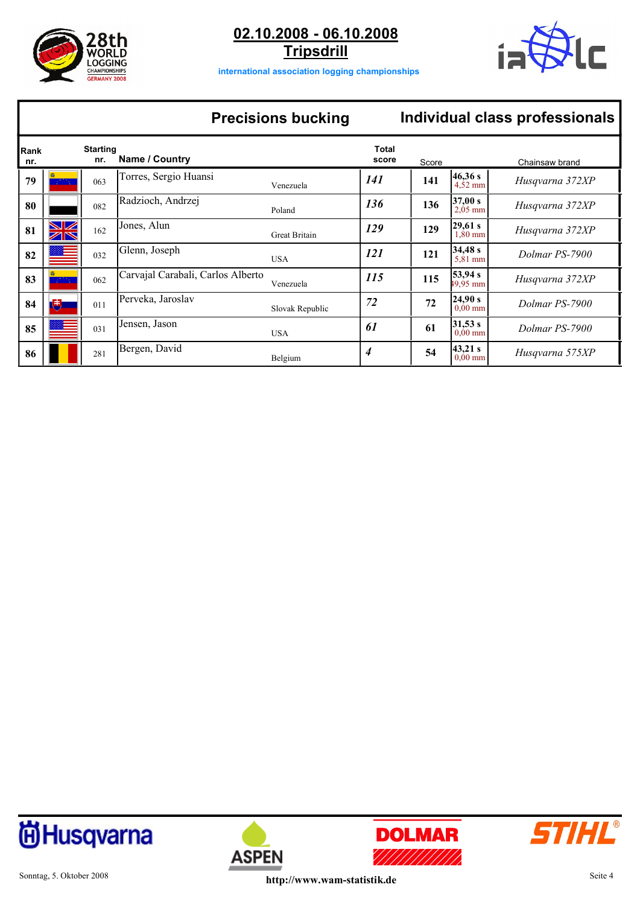

**02.10.2008 - 06.10.2008 Tripsdrill**



**international association logging championships**

## **Precisions bucking Individual class professionals**

| Rank<br>nr. |    | <b>Starting</b><br>nr. | Name / Country                    |                 | <b>Total</b><br>score | Score |                               | Chainsaw brand  |
|-------------|----|------------------------|-----------------------------------|-----------------|-----------------------|-------|-------------------------------|-----------------|
| 79          |    | 063                    | Torres, Sergio Huansi             | Venezuela       | 141                   | 141   | l46.36 s<br>$4,52$ mm         | Husqvarna 372XP |
| 80          |    | 082                    | Radzioch, Andrzej                 | Poland          | 136                   | 136   | 37,00 s<br>$2,05$ mm          | Husqvarna 372XP |
| 81          | WK | 162                    | Jones, Alun                       | Great Britain   | 129                   | 129   | 29,61 s<br>$1,80$ mm          | Husqvarna 372XP |
| 82          |    | 032                    | Glenn, Joseph                     | <b>USA</b>      | 121                   | 121   | 34,48s<br>$5,81$ mm           | Dolmar PS-7900  |
| 83          |    | 062                    | Carvajal Carabali, Carlos Alberto | Venezuela       | 115                   | 115   | 53,94 s<br>$49.95 \text{ mm}$ | Husqvarna 372XP |
| 84          | (中 | 011                    | Perveka, Jaroslav                 | Slovak Republic | 72                    | 72    | 24.90 s<br>$0,00$ mm          | Dolmar PS-7900  |
| 85          |    | 031                    | Jensen, Jason                     | <b>USA</b>      | 61                    | 61    | 31,53 s<br>$0,00$ mm          | Dolmar PS-7900  |
| 86          |    | 281                    | Bergen, David                     | Belgium         | 4                     | 54    | 43,21 s<br>$0,00$ mm          | Husqvarna 575XP |







**ASPEN**